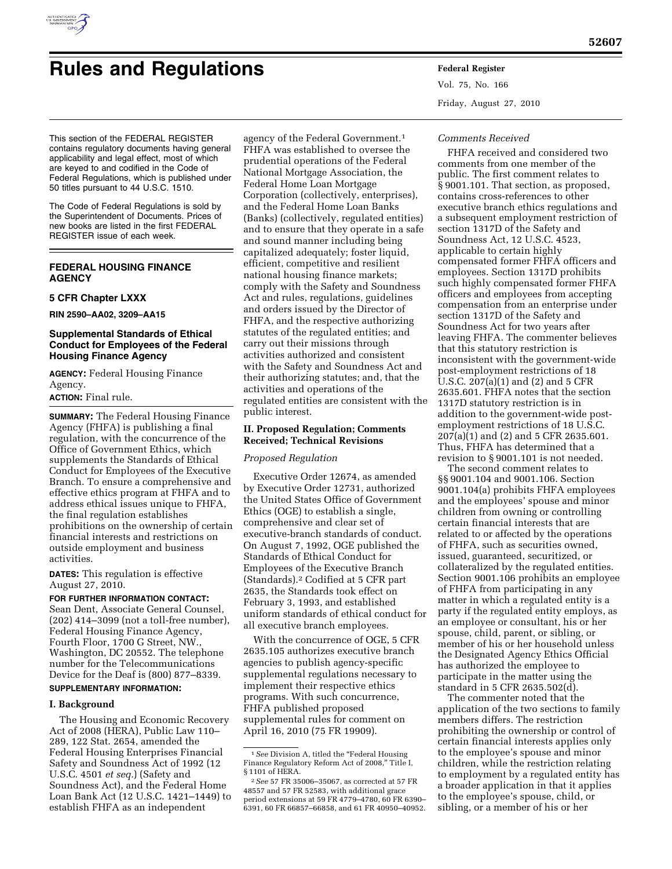

# **Rules and Regulations Federal Register**

Vol. 75, No. 166 Friday, August 27, 2010

#### This section of the FEDERAL REGISTER contains regulatory documents having general applicability and legal effect, most of which are keyed to and codified in the Code of Federal Regulations, which is published under 50 titles pursuant to 44 U.S.C. 1510.

The Code of Federal Regulations is sold by the Superintendent of Documents. Prices of new books are listed in the first FEDERAL REGISTER issue of each week.

# **FEDERAL HOUSING FINANCE AGENCY**

## **5 CFR Chapter LXXX**

**RIN 2590–AA02, 3209–AA15** 

# **Supplemental Standards of Ethical Conduct for Employees of the Federal Housing Finance Agency**

**AGENCY:** Federal Housing Finance Agency.

# **ACTION:** Final rule.

**SUMMARY:** The Federal Housing Finance Agency (FHFA) is publishing a final regulation, with the concurrence of the Office of Government Ethics, which supplements the Standards of Ethical Conduct for Employees of the Executive Branch. To ensure a comprehensive and effective ethics program at FHFA and to address ethical issues unique to FHFA, the final regulation establishes prohibitions on the ownership of certain financial interests and restrictions on outside employment and business activities.

## **DATES:** This regulation is effective August 27, 2010.

**FOR FURTHER INFORMATION CONTACT:**  Sean Dent, Associate General Counsel, (202) 414–3099 (not a toll-free number), Federal Housing Finance Agency, Fourth Floor, 1700 G Street, NW., Washington, DC 20552. The telephone number for the Telecommunications Device for the Deaf is (800) 877–8339.

# **SUPPLEMENTARY INFORMATION:**

## **I. Background**

The Housing and Economic Recovery Act of 2008 (HERA), Public Law 110– 289, 122 Stat. 2654, amended the Federal Housing Enterprises Financial Safety and Soundness Act of 1992 (12 U.S.C. 4501 *et seq.*) (Safety and Soundness Act), and the Federal Home Loan Bank Act (12 U.S.C. 1421–1449) to establish FHFA as an independent

agency of the Federal Government.1 FHFA was established to oversee the prudential operations of the Federal National Mortgage Association, the Federal Home Loan Mortgage Corporation (collectively, enterprises), and the Federal Home Loan Banks (Banks) (collectively, regulated entities) and to ensure that they operate in a safe and sound manner including being capitalized adequately; foster liquid, efficient, competitive and resilient national housing finance markets; comply with the Safety and Soundness Act and rules, regulations, guidelines and orders issued by the Director of FHFA, and the respective authorizing statutes of the regulated entities; and carry out their missions through activities authorized and consistent with the Safety and Soundness Act and their authorizing statutes; and, that the activities and operations of the regulated entities are consistent with the public interest.

# **II. Proposed Regulation; Comments Received; Technical Revisions**

## *Proposed Regulation*

Executive Order 12674, as amended by Executive Order 12731, authorized the United States Office of Government Ethics (OGE) to establish a single, comprehensive and clear set of executive-branch standards of conduct. On August 7, 1992, OGE published the Standards of Ethical Conduct for Employees of the Executive Branch (Standards).2 Codified at 5 CFR part 2635, the Standards took effect on February 3, 1993, and established uniform standards of ethical conduct for all executive branch employees.

With the concurrence of OGE, 5 CFR 2635.105 authorizes executive branch agencies to publish agency-specific supplemental regulations necessary to implement their respective ethics programs. With such concurrence, FHFA published proposed supplemental rules for comment on April 16, 2010 (75 FR 19909).

## *Comments Received*

FHFA received and considered two comments from one member of the public. The first comment relates to § 9001.101. That section, as proposed, contains cross-references to other executive branch ethics regulations and a subsequent employment restriction of section 1317D of the Safety and Soundness Act, 12 U.S.C. 4523, applicable to certain highly compensated former FHFA officers and employees. Section 1317D prohibits such highly compensated former FHFA officers and employees from accepting compensation from an enterprise under section 1317D of the Safety and Soundness Act for two years after leaving FHFA. The commenter believes that this statutory restriction is inconsistent with the government-wide post-employment restrictions of 18 U.S.C. 207(a)(1) and (2) and 5 CFR 2635.601. FHFA notes that the section 1317D statutory restriction is in addition to the government-wide postemployment restrictions of 18 U.S.C. 207(a)(1) and (2) and 5 CFR 2635.601. Thus, FHFA has determined that a revision to § 9001.101 is not needed.

The second comment relates to §§ 9001.104 and 9001.106. Section 9001.104(a) prohibits FHFA employees and the employees' spouse and minor children from owning or controlling certain financial interests that are related to or affected by the operations of FHFA, such as securities owned, issued, guaranteed, securitized, or collateralized by the regulated entities. Section 9001.106 prohibits an employee of FHFA from participating in any matter in which a regulated entity is a party if the regulated entity employs, as an employee or consultant, his or her spouse, child, parent, or sibling, or member of his or her household unless the Designated Agency Ethics Official has authorized the employee to participate in the matter using the standard in 5 CFR 2635.502(d).

The commenter noted that the application of the two sections to family members differs. The restriction prohibiting the ownership or control of certain financial interests applies only to the employee's spouse and minor children, while the restriction relating to employment by a regulated entity has a broader application in that it applies to the employee's spouse, child, or sibling, or a member of his or her

<sup>&</sup>lt;sup>1</sup> See Division A, titled the "Federal Housing Finance Regulatory Reform Act of 2008,'' Title I, § 1101 of HERA.

<sup>2</sup>*See* 57 FR 35006–35067, as corrected at 57 FR 48557 and 57 FR 52583, with additional grace period extensions at 59 FR 4779–4780, 60 FR 6390– 6391, 60 FR 66857–66858, and 61 FR 40950–40952.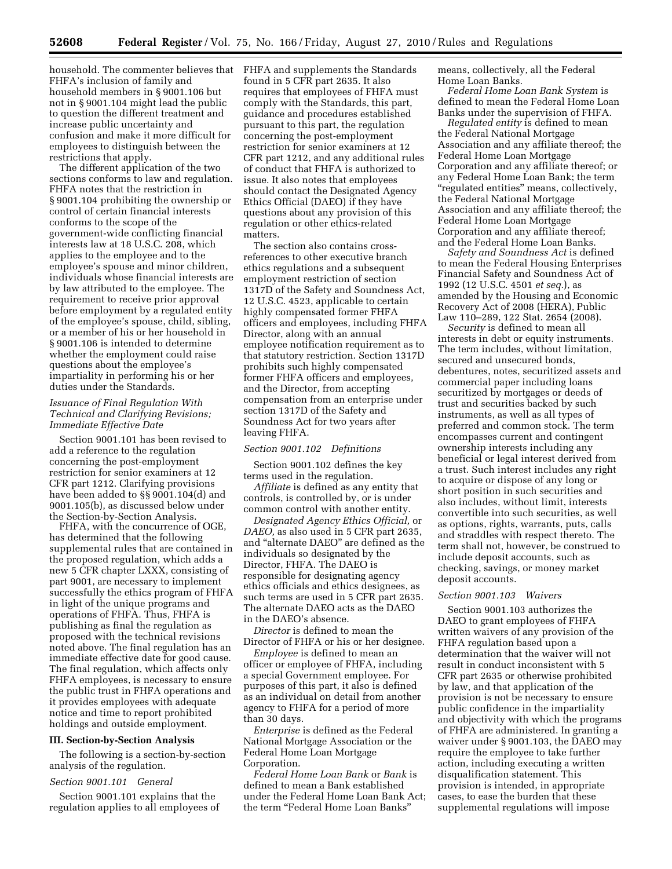**52608 Federal Register** / Vol. 75, No. 166 / Friday, August 27, 2010 / Rules and Regulations

household. The commenter believes that FHFA and supplements the Standards FHFA's inclusion of family and household members in § 9001.106 but not in § 9001.104 might lead the public to question the different treatment and increase public uncertainty and confusion and make it more difficult for employees to distinguish between the restrictions that apply.

The different application of the two sections conforms to law and regulation. FHFA notes that the restriction in § 9001.104 prohibiting the ownership or control of certain financial interests conforms to the scope of the government-wide conflicting financial interests law at 18 U.S.C. 208, which applies to the employee and to the employee's spouse and minor children, individuals whose financial interests are by law attributed to the employee. The requirement to receive prior approval before employment by a regulated entity of the employee's spouse, child, sibling, or a member of his or her household in § 9001.106 is intended to determine whether the employment could raise questions about the employee's impartiality in performing his or her duties under the Standards.

# *Issuance of Final Regulation With Technical and Clarifying Revisions; Immediate Effective Date*

Section 9001.101 has been revised to add a reference to the regulation concerning the post-employment restriction for senior examiners at 12 CFR part 1212. Clarifying provisions have been added to §§ 9001.104(d) and 9001.105(b), as discussed below under the Section-by-Section Analysis.

FHFA, with the concurrence of OGE, has determined that the following supplemental rules that are contained in the proposed regulation, which adds a new 5 CFR chapter LXXX, consisting of part 9001, are necessary to implement successfully the ethics program of FHFA in light of the unique programs and operations of FHFA. Thus, FHFA is publishing as final the regulation as proposed with the technical revisions noted above. The final regulation has an immediate effective date for good cause. The final regulation, which affects only FHFA employees, is necessary to ensure the public trust in FHFA operations and it provides employees with adequate notice and time to report prohibited holdings and outside employment.

#### **III. Section-by-Section Analysis**

The following is a section-by-section analysis of the regulation.

## *Section 9001.101 General*

Section 9001.101 explains that the regulation applies to all employees of

found in 5 CFR part 2635. It also requires that employees of FHFA must comply with the Standards, this part, guidance and procedures established pursuant to this part, the regulation concerning the post-employment restriction for senior examiners at 12 CFR part 1212, and any additional rules of conduct that FHFA is authorized to issue. It also notes that employees should contact the Designated Agency Ethics Official (DAEO) if they have questions about any provision of this regulation or other ethics-related matters.

The section also contains crossreferences to other executive branch ethics regulations and a subsequent employment restriction of section 1317D of the Safety and Soundness Act, 12 U.S.C. 4523, applicable to certain highly compensated former FHFA officers and employees, including FHFA Director, along with an annual employee notification requirement as to that statutory restriction. Section 1317D prohibits such highly compensated former FHFA officers and employees, and the Director, from accepting compensation from an enterprise under section 1317D of the Safety and Soundness Act for two years after leaving FHFA.

#### *Section 9001.102 Definitions*

Section 9001.102 defines the key terms used in the regulation.

*Affiliate* is defined as any entity that controls, is controlled by, or is under common control with another entity.

*Designated Agency Ethics Official,* or *DAEO,* as also used in 5 CFR part 2635, and ''alternate DAEO'' are defined as the individuals so designated by the Director, FHFA. The DAEO is responsible for designating agency ethics officials and ethics designees, as such terms are used in 5 CFR part 2635. The alternate DAEO acts as the DAEO in the DAEO's absence.

*Director* is defined to mean the Director of FHFA or his or her designee.

*Employee* is defined to mean an officer or employee of FHFA, including a special Government employee. For purposes of this part, it also is defined as an individual on detail from another agency to FHFA for a period of more than 30 days.

*Enterprise* is defined as the Federal National Mortgage Association or the Federal Home Loan Mortgage Corporation.

*Federal Home Loan Bank* or *Bank* is defined to mean a Bank established under the Federal Home Loan Bank Act; the term "Federal Home Loan Banks"

means, collectively, all the Federal Home Loan Banks.

*Federal Home Loan Bank System* is defined to mean the Federal Home Loan Banks under the supervision of FHFA.

*Regulated entity* is defined to mean the Federal National Mortgage Association and any affiliate thereof; the Federal Home Loan Mortgage Corporation and any affiliate thereof; or any Federal Home Loan Bank; the term ''regulated entities'' means, collectively, the Federal National Mortgage Association and any affiliate thereof; the Federal Home Loan Mortgage Corporation and any affiliate thereof; and the Federal Home Loan Banks.

*Safety and Soundness Act* is defined to mean the Federal Housing Enterprises Financial Safety and Soundness Act of 1992 (12 U.S.C. 4501 *et seq.*), as amended by the Housing and Economic Recovery Act of 2008 (HERA), Public Law 110–289, 122 Stat. 2654 (2008).

*Security* is defined to mean all interests in debt or equity instruments. The term includes, without limitation, secured and unsecured bonds, debentures, notes, securitized assets and commercial paper including loans securitized by mortgages or deeds of trust and securities backed by such instruments, as well as all types of preferred and common stock. The term encompasses current and contingent ownership interests including any beneficial or legal interest derived from a trust. Such interest includes any right to acquire or dispose of any long or short position in such securities and also includes, without limit, interests convertible into such securities, as well as options, rights, warrants, puts, calls and straddles with respect thereto. The term shall not, however, be construed to include deposit accounts, such as checking, savings, or money market deposit accounts.

#### *Section 9001.103 Waivers*

Section 9001.103 authorizes the DAEO to grant employees of FHFA written waivers of any provision of the FHFA regulation based upon a determination that the waiver will not result in conduct inconsistent with 5 CFR part 2635 or otherwise prohibited by law, and that application of the provision is not be necessary to ensure public confidence in the impartiality and objectivity with which the programs of FHFA are administered. In granting a waiver under § 9001.103, the DAEO may require the employee to take further action, including executing a written disqualification statement. This provision is intended, in appropriate cases, to ease the burden that these supplemental regulations will impose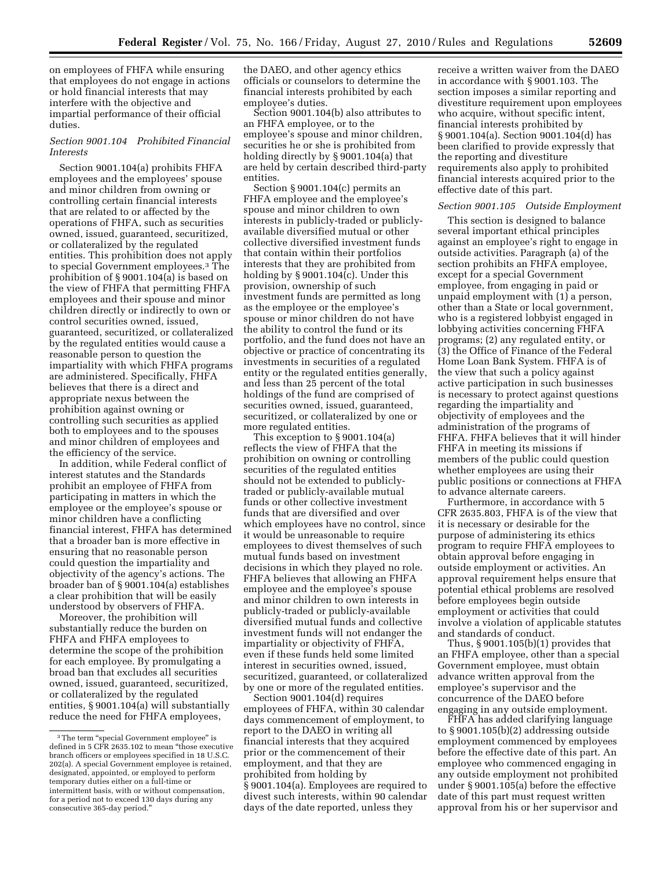on employees of FHFA while ensuring that employees do not engage in actions or hold financial interests that may interfere with the objective and impartial performance of their official duties.

## *Section 9001.104 Prohibited Financial Interests*

Section 9001.104(a) prohibits FHFA employees and the employees' spouse and minor children from owning or controlling certain financial interests that are related to or affected by the operations of FHFA, such as securities owned, issued, guaranteed, securitized, or collateralized by the regulated entities. This prohibition does not apply to special Government employees.3 The prohibition of § 9001.104(a) is based on the view of FHFA that permitting FHFA employees and their spouse and minor children directly or indirectly to own or control securities owned, issued, guaranteed, securitized, or collateralized by the regulated entities would cause a reasonable person to question the impartiality with which FHFA programs are administered. Specifically, FHFA believes that there is a direct and appropriate nexus between the prohibition against owning or controlling such securities as applied both to employees and to the spouses and minor children of employees and the efficiency of the service.

In addition, while Federal conflict of interest statutes and the Standards prohibit an employee of FHFA from participating in matters in which the employee or the employee's spouse or minor children have a conflicting financial interest, FHFA has determined that a broader ban is more effective in ensuring that no reasonable person could question the impartiality and objectivity of the agency's actions. The broader ban of § 9001.104(a) establishes a clear prohibition that will be easily understood by observers of FHFA.

Moreover, the prohibition will substantially reduce the burden on FHFA and FHFA employees to determine the scope of the prohibition for each employee. By promulgating a broad ban that excludes all securities owned, issued, guaranteed, securitized, or collateralized by the regulated entities, § 9001.104(a) will substantially reduce the need for FHFA employees,

the DAEO, and other agency ethics officials or counselors to determine the financial interests prohibited by each employee's duties.

Section 9001.104(b) also attributes to an FHFA employee, or to the employee's spouse and minor children, securities he or she is prohibited from holding directly by § 9001.104(a) that are held by certain described third-party entities.

Section § 9001.104(c) permits an FHFA employee and the employee's spouse and minor children to own interests in publicly-traded or publiclyavailable diversified mutual or other collective diversified investment funds that contain within their portfolios interests that they are prohibited from holding by § 9001.104(c). Under this provision, ownership of such investment funds are permitted as long as the employee or the employee's spouse or minor children do not have the ability to control the fund or its portfolio, and the fund does not have an objective or practice of concentrating its investments in securities of a regulated entity or the regulated entities generally, and less than 25 percent of the total holdings of the fund are comprised of securities owned, issued, guaranteed, securitized, or collateralized by one or more regulated entities.

This exception to § 9001.104(a) reflects the view of FHFA that the prohibition on owning or controlling securities of the regulated entities should not be extended to publiclytraded or publicly-available mutual funds or other collective investment funds that are diversified and over which employees have no control, since it would be unreasonable to require employees to divest themselves of such mutual funds based on investment decisions in which they played no role. FHFA believes that allowing an FHFA employee and the employee's spouse and minor children to own interests in publicly-traded or publicly-available diversified mutual funds and collective investment funds will not endanger the impartiality or objectivity of FHFA, even if these funds held some limited interest in securities owned, issued, securitized, guaranteed, or collateralized by one or more of the regulated entities.

Section 9001.104(d) requires employees of FHFA, within 30 calendar days commencement of employment, to report to the DAEO in writing all financial interests that they acquired prior or the commencement of their employment, and that they are prohibited from holding by § 9001.104(a). Employees are required to divest such interests, within 90 calendar days of the date reported, unless they

receive a written waiver from the DAEO in accordance with § 9001.103. The section imposes a similar reporting and divestiture requirement upon employees who acquire, without specific intent, financial interests prohibited by § 9001.104(a). Section 9001.104(d) has been clarified to provide expressly that the reporting and divestiture requirements also apply to prohibited financial interests acquired prior to the effective date of this part.

#### *Section 9001.105 Outside Employment*

This section is designed to balance several important ethical principles against an employee's right to engage in outside activities. Paragraph (a) of the section prohibits an FHFA employee, except for a special Government employee, from engaging in paid or unpaid employment with (1) a person, other than a State or local government, who is a registered lobbyist engaged in lobbying activities concerning FHFA programs; (2) any regulated entity, or (3) the Office of Finance of the Federal Home Loan Bank System. FHFA is of the view that such a policy against active participation in such businesses is necessary to protect against questions regarding the impartiality and objectivity of employees and the administration of the programs of FHFA. FHFA believes that it will hinder FHFA in meeting its missions if members of the public could question whether employees are using their public positions or connections at FHFA to advance alternate careers.

Furthermore, in accordance with 5 CFR 2635.803, FHFA is of the view that it is necessary or desirable for the purpose of administering its ethics program to require FHFA employees to obtain approval before engaging in outside employment or activities. An approval requirement helps ensure that potential ethical problems are resolved before employees begin outside employment or activities that could involve a violation of applicable statutes and standards of conduct.

Thus, § 9001.105(b)(1) provides that an FHFA employee, other than a special Government employee, must obtain advance written approval from the employee's supervisor and the concurrence of the DAEO before engaging in any outside employment.

FHFA has added clarifying language to § 9001.105(b)(2) addressing outside employment commenced by employees before the effective date of this part. An employee who commenced engaging in any outside employment not prohibited under § 9001.105(a) before the effective date of this part must request written approval from his or her supervisor and

<sup>&</sup>lt;sup>3</sup>The term "special Government employee" is defined in 5 CFR 2635.102 to mean ''those executive branch officers or employees specified in 18 U.S.C. 202(a). A special Government employee is retained, designated, appointed, or employed to perform temporary duties either on a full-time or intermittent basis, with or without compensation, for a period not to exceed 130 days during any consecutive 365-day period.''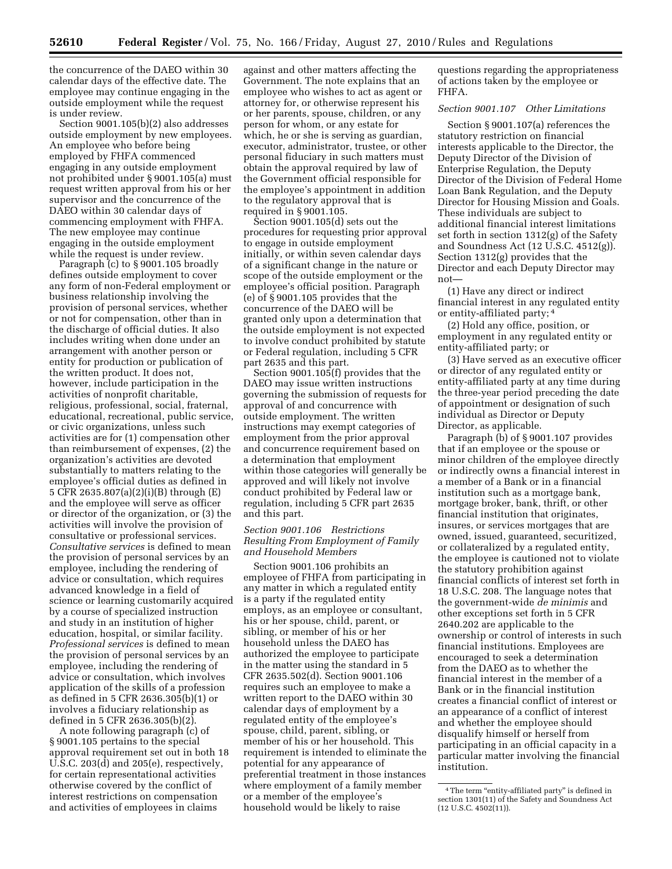the concurrence of the DAEO within 30 calendar days of the effective date. The employee may continue engaging in the outside employment while the request is under review.

Section 9001.105(b)(2) also addresses outside employment by new employees. An employee who before being employed by FHFA commenced engaging in any outside employment not prohibited under § 9001.105(a) must request written approval from his or her supervisor and the concurrence of the DAEO within 30 calendar days of commencing employment with FHFA. The new employee may continue engaging in the outside employment while the request is under review.

Paragraph (c) to § 9001.105 broadly defines outside employment to cover any form of non-Federal employment or business relationship involving the provision of personal services, whether or not for compensation, other than in the discharge of official duties. It also includes writing when done under an arrangement with another person or entity for production or publication of the written product. It does not, however, include participation in the activities of nonprofit charitable, religious, professional, social, fraternal, educational, recreational, public service, or civic organizations, unless such activities are for (1) compensation other than reimbursement of expenses, (2) the organization's activities are devoted substantially to matters relating to the employee's official duties as defined in 5 CFR 2635.807(a)(2)(i)(B) through (E) and the employee will serve as officer or director of the organization, or (3) the activities will involve the provision of consultative or professional services. *Consultative services* is defined to mean the provision of personal services by an employee, including the rendering of advice or consultation, which requires advanced knowledge in a field of science or learning customarily acquired by a course of specialized instruction and study in an institution of higher education, hospital, or similar facility. *Professional services* is defined to mean the provision of personal services by an employee, including the rendering of advice or consultation, which involves application of the skills of a profession as defined in 5 CFR 2636.305(b)(1) or involves a fiduciary relationship as defined in 5 CFR 2636.305(b)(2).

A note following paragraph (c) of § 9001.105 pertains to the special approval requirement set out in both 18 U.S.C. 203(d) and 205(e), respectively, for certain representational activities otherwise covered by the conflict of interest restrictions on compensation and activities of employees in claims

against and other matters affecting the Government. The note explains that an employee who wishes to act as agent or attorney for, or otherwise represent his or her parents, spouse, children, or any person for whom, or any estate for which, he or she is serving as guardian, executor, administrator, trustee, or other personal fiduciary in such matters must obtain the approval required by law of the Government official responsible for the employee's appointment in addition to the regulatory approval that is required in § 9001.105.

Section 9001.105(d) sets out the procedures for requesting prior approval to engage in outside employment initially, or within seven calendar days of a significant change in the nature or scope of the outside employment or the employee's official position. Paragraph (e) of § 9001.105 provides that the concurrence of the DAEO will be granted only upon a determination that the outside employment is not expected to involve conduct prohibited by statute or Federal regulation, including 5 CFR part 2635 and this part.

Section 9001.105(f) provides that the DAEO may issue written instructions governing the submission of requests for approval of and concurrence with outside employment. The written instructions may exempt categories of employment from the prior approval and concurrence requirement based on a determination that employment within those categories will generally be approved and will likely not involve conduct prohibited by Federal law or regulation, including 5 CFR part 2635 and this part.

## *Section 9001.106 Restrictions Resulting From Employment of Family and Household Members*

Section 9001.106 prohibits an employee of FHFA from participating in any matter in which a regulated entity is a party if the regulated entity employs, as an employee or consultant, his or her spouse, child, parent, or sibling, or member of his or her household unless the DAEO has authorized the employee to participate in the matter using the standard in 5 CFR 2635.502(d). Section 9001.106 requires such an employee to make a written report to the DAEO within 30 calendar days of employment by a regulated entity of the employee's spouse, child, parent, sibling, or member of his or her household. This requirement is intended to eliminate the potential for any appearance of preferential treatment in those instances where employment of a family member or a member of the employee's household would be likely to raise

questions regarding the appropriateness of actions taken by the employee or FHFA.

# *Section 9001.107 Other Limitations*

Section § 9001.107(a) references the statutory restriction on financial interests applicable to the Director, the Deputy Director of the Division of Enterprise Regulation, the Deputy Director of the Division of Federal Home Loan Bank Regulation, and the Deputy Director for Housing Mission and Goals. These individuals are subject to additional financial interest limitations set forth in section 1312(g) of the Safety and Soundness Act (12 U.S.C. 4512(g)). Section 1312(g) provides that the Director and each Deputy Director may not—

(1) Have any direct or indirect financial interest in any regulated entity or entity-affiliated party; 4

(2) Hold any office, position, or employment in any regulated entity or entity-affiliated party; or

(3) Have served as an executive officer or director of any regulated entity or entity-affiliated party at any time during the three-year period preceding the date of appointment or designation of such individual as Director or Deputy Director, as applicable.

Paragraph (b) of § 9001.107 provides that if an employee or the spouse or minor children of the employee directly or indirectly owns a financial interest in a member of a Bank or in a financial institution such as a mortgage bank, mortgage broker, bank, thrift, or other financial institution that originates, insures, or services mortgages that are owned, issued, guaranteed, securitized, or collateralized by a regulated entity, the employee is cautioned not to violate the statutory prohibition against financial conflicts of interest set forth in 18 U.S.C. 208. The language notes that the government-wide *de minimis* and other exceptions set forth in 5 CFR 2640.202 are applicable to the ownership or control of interests in such financial institutions. Employees are encouraged to seek a determination from the DAEO as to whether the financial interest in the member of a Bank or in the financial institution creates a financial conflict of interest or an appearance of a conflict of interest and whether the employee should disqualify himself or herself from participating in an official capacity in a particular matter involving the financial institution.

<sup>&</sup>lt;sup>4</sup>The term "entity-affiliated party" is defined in section 1301(11) of the Safety and Soundness Act (12 U.S.C. 4502(11)).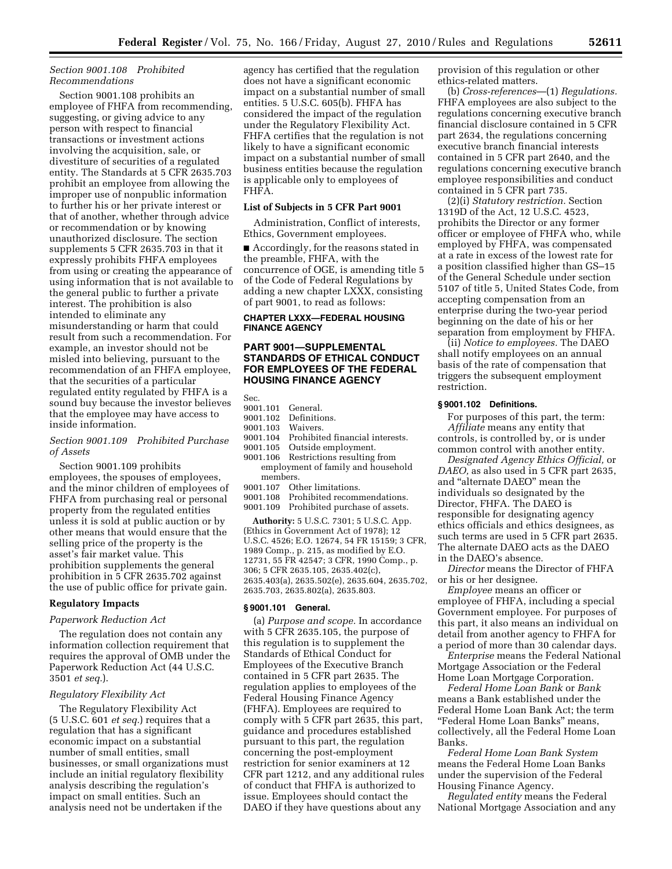## *Section 9001.108 Prohibited Recommendations*

Section 9001.108 prohibits an employee of FHFA from recommending, suggesting, or giving advice to any person with respect to financial transactions or investment actions involving the acquisition, sale, or divestiture of securities of a regulated entity. The Standards at 5 CFR 2635.703 prohibit an employee from allowing the improper use of nonpublic information to further his or her private interest or that of another, whether through advice or recommendation or by knowing unauthorized disclosure. The section supplements 5 CFR 2635.703 in that it expressly prohibits FHFA employees from using or creating the appearance of using information that is not available to the general public to further a private interest. The prohibition is also intended to eliminate any misunderstanding or harm that could result from such a recommendation. For example, an investor should not be misled into believing, pursuant to the recommendation of an FHFA employee, that the securities of a particular regulated entity regulated by FHFA is a sound buy because the investor believes that the employee may have access to inside information.

# *Section 9001.109 Prohibited Purchase of Assets*

Section 9001.109 prohibits employees, the spouses of employees, and the minor children of employees of FHFA from purchasing real or personal property from the regulated entities unless it is sold at public auction or by other means that would ensure that the selling price of the property is the asset's fair market value. This prohibition supplements the general prohibition in 5 CFR 2635.702 against the use of public office for private gain.

## **Regulatory Impacts**

## *Paperwork Reduction Act*

The regulation does not contain any information collection requirement that requires the approval of OMB under the Paperwork Reduction Act (44 U.S.C. 3501 *et seq.*).

## *Regulatory Flexibility Act*

The Regulatory Flexibility Act (5 U.S.C. 601 *et seq.*) requires that a regulation that has a significant economic impact on a substantial number of small entities, small businesses, or small organizations must include an initial regulatory flexibility analysis describing the regulation's impact on small entities. Such an analysis need not be undertaken if the

agency has certified that the regulation does not have a significant economic impact on a substantial number of small entities. 5 U.S.C. 605(b). FHFA has considered the impact of the regulation under the Regulatory Flexibility Act. FHFA certifies that the regulation is not likely to have a significant economic impact on a substantial number of small business entities because the regulation is applicable only to employees of FHFA.

#### **List of Subjects in 5 CFR Part 9001**

Administration, Conflict of interests, Ethics, Government employees.

■ Accordingly, for the reasons stated in the preamble, FHFA, with the concurrence of OGE, is amending title 5 of the Code of Federal Regulations by adding a new chapter LXXX, consisting of part 9001, to read as follows:

## **CHAPTER LXXX—FEDERAL HOUSING FINANCE AGENCY**

## **PART 9001—SUPPLEMENTAL STANDARDS OF ETHICAL CONDUCT FOR EMPLOYEES OF THE FEDERAL HOUSING FINANCE AGENCY**

Sec.

- 9001.101 General.
- 9001.102 Definitions.
- 9001.103 Waivers.
- 9001.104 Prohibited financial interests.
- 9001.105 Outside employment.
- Restrictions resulting from employment of family and household members.<br>9001.107 Ot
- Other limitations.
- 9001.108 Prohibited recommendations.
- 9001.109 Prohibited purchase of assets.

**Authority:** 5 U.S.C. 7301; 5 U.S.C. App. (Ethics in Government Act of 1978); 12 U.S.C. 4526; E.O. 12674, 54 FR 15159; 3 CFR, 1989 Comp., p. 215, as modified by E.O. 12731, 55 FR 42547; 3 CFR, 1990 Comp., p. 306; 5 CFR 2635.105, 2635.402(c), 2635.403(a), 2635.502(e), 2635.604, 2635.702, 2635.703, 2635.802(a), 2635.803.

## **§ 9001.101 General.**

(a) *Purpose and scope.* In accordance with 5 CFR 2635.105, the purpose of this regulation is to supplement the Standards of Ethical Conduct for Employees of the Executive Branch contained in 5 CFR part 2635. The regulation applies to employees of the Federal Housing Finance Agency (FHFA). Employees are required to comply with 5 CFR part 2635, this part, guidance and procedures established pursuant to this part, the regulation concerning the post-employment restriction for senior examiners at 12 CFR part 1212, and any additional rules of conduct that FHFA is authorized to issue. Employees should contact the DAEO if they have questions about any

provision of this regulation or other ethics-related matters.

(b) *Cross-references*—(1) *Regulations.*  FHFA employees are also subject to the regulations concerning executive branch financial disclosure contained in 5 CFR part 2634, the regulations concerning executive branch financial interests contained in 5 CFR part 2640, and the regulations concerning executive branch employee responsibilities and conduct contained in 5 CFR part 735.

(2)(i) *Statutory restriction.* Section 1319D of the Act, 12 U.S.C. 4523, prohibits the Director or any former officer or employee of FHFA who, while employed by FHFA, was compensated at a rate in excess of the lowest rate for a position classified higher than GS–15 of the General Schedule under section 5107 of title 5, United States Code, from accepting compensation from an enterprise during the two-year period beginning on the date of his or her separation from employment by FHFA.

(ii) *Notice to employees.* The DAEO shall notify employees on an annual basis of the rate of compensation that triggers the subsequent employment restriction.

## **§ 9001.102 Definitions.**

For purposes of this part, the term: *Affiliate* means any entity that controls, is controlled by, or is under common control with another entity.

*Designated Agency Ethics Official,* or *DAEO,* as also used in 5 CFR part 2635, and ''alternate DAEO'' mean the individuals so designated by the Director, FHFA. The DAEO is responsible for designating agency ethics officials and ethics designees, as such terms are used in 5 CFR part 2635. The alternate DAEO acts as the DAEO in the DAEO's absence.

*Director* means the Director of FHFA or his or her designee.

*Employee* means an officer or employee of FHFA, including a special Government employee. For purposes of this part, it also means an individual on detail from another agency to FHFA for a period of more than 30 calendar days.

*Enterprise* means the Federal National Mortgage Association or the Federal Home Loan Mortgage Corporation.

*Federal Home Loan Bank* or *Bank*  means a Bank established under the Federal Home Loan Bank Act; the term ''Federal Home Loan Banks'' means, collectively, all the Federal Home Loan Banks.

*Federal Home Loan Bank System*  means the Federal Home Loan Banks under the supervision of the Federal Housing Finance Agency.

*Regulated entity* means the Federal National Mortgage Association and any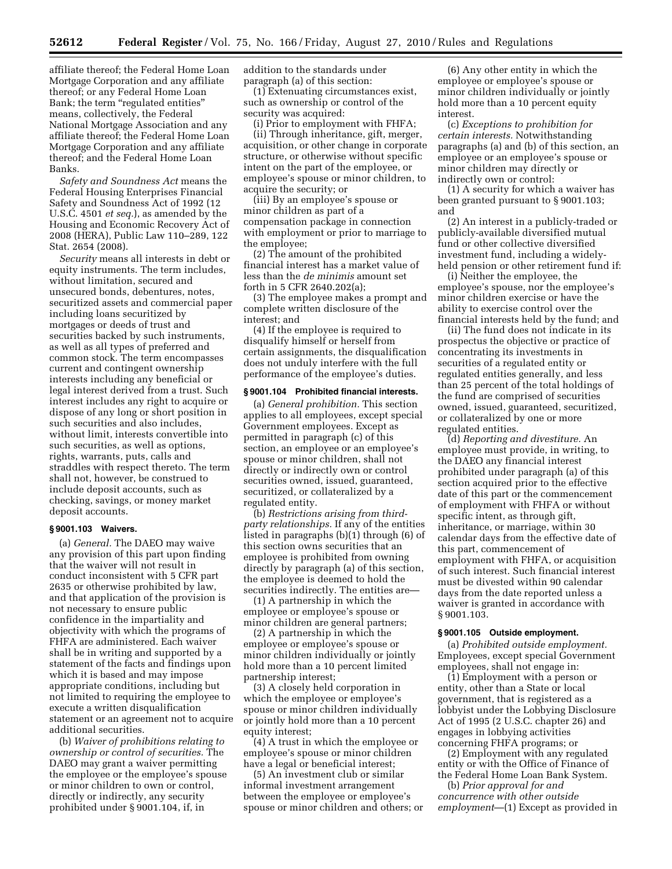affiliate thereof; the Federal Home Loan Mortgage Corporation and any affiliate thereof; or any Federal Home Loan Bank; the term "regulated entities" means, collectively, the Federal National Mortgage Association and any affiliate thereof; the Federal Home Loan Mortgage Corporation and any affiliate thereof; and the Federal Home Loan Banks.

*Safety and Soundness Act* means the Federal Housing Enterprises Financial Safety and Soundness Act of 1992 (12 U.S.C. 4501 *et seq.*), as amended by the Housing and Economic Recovery Act of 2008 (HERA), Public Law 110–289, 122 Stat. 2654 (2008).

*Security* means all interests in debt or equity instruments. The term includes, without limitation, secured and unsecured bonds, debentures, notes, securitized assets and commercial paper including loans securitized by mortgages or deeds of trust and securities backed by such instruments, as well as all types of preferred and common stock. The term encompasses current and contingent ownership interests including any beneficial or legal interest derived from a trust. Such interest includes any right to acquire or dispose of any long or short position in such securities and also includes, without limit, interests convertible into such securities, as well as options, rights, warrants, puts, calls and straddles with respect thereto. The term shall not, however, be construed to include deposit accounts, such as checking, savings, or money market deposit accounts.

## **§ 9001.103 Waivers.**

(a) *General.* The DAEO may waive any provision of this part upon finding that the waiver will not result in conduct inconsistent with 5 CFR part 2635 or otherwise prohibited by law, and that application of the provision is not necessary to ensure public confidence in the impartiality and objectivity with which the programs of FHFA are administered. Each waiver shall be in writing and supported by a statement of the facts and findings upon which it is based and may impose appropriate conditions, including but not limited to requiring the employee to execute a written disqualification statement or an agreement not to acquire additional securities.

(b) *Waiver of prohibitions relating to ownership or control of securities.* The DAEO may grant a waiver permitting the employee or the employee's spouse or minor children to own or control, directly or indirectly, any security prohibited under § 9001.104, if, in

addition to the standards under paragraph (a) of this section:

(1) Extenuating circumstances exist, such as ownership or control of the security was acquired:

(i) Prior to employment with FHFA; (ii) Through inheritance, gift, merger, acquisition, or other change in corporate structure, or otherwise without specific intent on the part of the employee, or employee's spouse or minor children, to acquire the security; or

(iii) By an employee's spouse or minor children as part of a compensation package in connection with employment or prior to marriage to the employee;

(2) The amount of the prohibited financial interest has a market value of less than the *de minimis* amount set forth in 5 CFR 2640.202(a);

(3) The employee makes a prompt and complete written disclosure of the interest; and

(4) If the employee is required to disqualify himself or herself from certain assignments, the disqualification does not unduly interfere with the full performance of the employee's duties.

## **§ 9001.104 Prohibited financial interests.**

(a) *General prohibition.* This section applies to all employees, except special Government employees. Except as permitted in paragraph (c) of this section, an employee or an employee's spouse or minor children, shall not directly or indirectly own or control securities owned, issued, guaranteed, securitized, or collateralized by a regulated entity.

(b) *Restrictions arising from thirdparty relationships.* If any of the entities listed in paragraphs (b)(1) through (6) of this section owns securities that an employee is prohibited from owning directly by paragraph (a) of this section, the employee is deemed to hold the securities indirectly. The entities are—

(1) A partnership in which the employee or employee's spouse or minor children are general partners;

(2) A partnership in which the employee or employee's spouse or minor children individually or jointly hold more than a 10 percent limited partnership interest;

(3) A closely held corporation in which the employee or employee's spouse or minor children individually or jointly hold more than a 10 percent equity interest;

(4) A trust in which the employee or employee's spouse or minor children have a legal or beneficial interest;

(5) An investment club or similar informal investment arrangement between the employee or employee's spouse or minor children and others; or

(6) Any other entity in which the employee or employee's spouse or minor children individually or jointly hold more than a 10 percent equity interest.

(c) *Exceptions to prohibition for certain interests.* Notwithstanding paragraphs (a) and (b) of this section, an employee or an employee's spouse or minor children may directly or indirectly own or control:

(1) A security for which a waiver has been granted pursuant to § 9001.103; and

(2) An interest in a publicly-traded or publicly-available diversified mutual fund or other collective diversified investment fund, including a widelyheld pension or other retirement fund if:

(i) Neither the employee, the employee's spouse, nor the employee's minor children exercise or have the ability to exercise control over the financial interests held by the fund; and

(ii) The fund does not indicate in its prospectus the objective or practice of concentrating its investments in securities of a regulated entity or regulated entities generally, and less than 25 percent of the total holdings of the fund are comprised of securities owned, issued, guaranteed, securitized, or collateralized by one or more regulated entities.

(d) *Reporting and divestiture.* An employee must provide, in writing, to the DAEO any financial interest prohibited under paragraph (a) of this section acquired prior to the effective date of this part or the commencement of employment with FHFA or without specific intent, as through gift, inheritance, or marriage, within 30 calendar days from the effective date of this part, commencement of employment with FHFA, or acquisition of such interest. Such financial interest must be divested within 90 calendar days from the date reported unless a waiver is granted in accordance with § 9001.103.

#### **§ 9001.105 Outside employment.**

(a) *Prohibited outside employment.*  Employees, except special Government employees, shall not engage in:

(1) Employment with a person or entity, other than a State or local government, that is registered as a lobbyist under the Lobbying Disclosure Act of 1995 (2 U.S.C. chapter 26) and engages in lobbying activities concerning FHFA programs; or

(2) Employment with any regulated entity or with the Office of Finance of the Federal Home Loan Bank System.

(b) *Prior approval for and concurrence with other outside employment*—(1) Except as provided in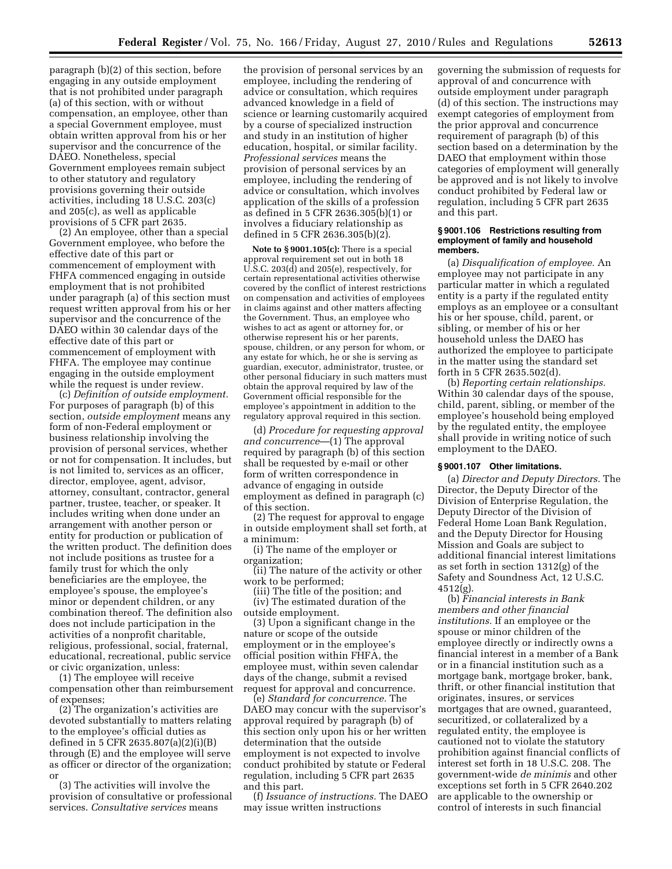paragraph (b)(2) of this section, before engaging in any outside employment that is not prohibited under paragraph (a) of this section, with or without compensation, an employee, other than a special Government employee, must obtain written approval from his or her supervisor and the concurrence of the DAEO. Nonetheless, special Government employees remain subject to other statutory and regulatory provisions governing their outside activities, including 18 U.S.C. 203(c) and 205(c), as well as applicable provisions of 5 CFR part 2635.

(2) An employee, other than a special Government employee, who before the effective date of this part or commencement of employment with FHFA commenced engaging in outside employment that is not prohibited under paragraph (a) of this section must request written approval from his or her supervisor and the concurrence of the DAEO within 30 calendar days of the effective date of this part or commencement of employment with FHFA. The employee may continue engaging in the outside employment while the request is under review.

(c) *Definition of outside employment.*  For purposes of paragraph (b) of this section, *outside employment* means any form of non-Federal employment or business relationship involving the provision of personal services, whether or not for compensation. It includes, but is not limited to, services as an officer, director, employee, agent, advisor, attorney, consultant, contractor, general partner, trustee, teacher, or speaker. It includes writing when done under an arrangement with another person or entity for production or publication of the written product. The definition does not include positions as trustee for a family trust for which the only beneficiaries are the employee, the employee's spouse, the employee's minor or dependent children, or any combination thereof. The definition also does not include participation in the activities of a nonprofit charitable, religious, professional, social, fraternal, educational, recreational, public service or civic organization, unless:

(1) The employee will receive compensation other than reimbursement of expenses;

(2) The organization's activities are devoted substantially to matters relating to the employee's official duties as defined in 5 CFR 2635.807(a)(2)(i)(B) through (E) and the employee will serve as officer or director of the organization; or

(3) The activities will involve the provision of consultative or professional services. *Consultative services* means

the provision of personal services by an employee, including the rendering of advice or consultation, which requires advanced knowledge in a field of science or learning customarily acquired by a course of specialized instruction and study in an institution of higher education, hospital, or similar facility. *Professional services* means the provision of personal services by an employee, including the rendering of advice or consultation, which involves application of the skills of a profession as defined in 5 CFR 2636.305(b)(1) or involves a fiduciary relationship as defined in 5 CFR 2636.305(b)(2).

**Note to § 9001.105(c):** There is a special approval requirement set out in both 18 U.S.C. 203(d) and 205(e), respectively, for certain representational activities otherwise covered by the conflict of interest restrictions on compensation and activities of employees in claims against and other matters affecting the Government. Thus, an employee who wishes to act as agent or attorney for, or otherwise represent his or her parents, spouse, children, or any person for whom, or any estate for which, he or she is serving as guardian, executor, administrator, trustee, or other personal fiduciary in such matters must obtain the approval required by law of the Government official responsible for the employee's appointment in addition to the regulatory approval required in this section.

(d) *Procedure for requesting approval and concurrence*—(1) The approval required by paragraph (b) of this section shall be requested by e-mail or other form of written correspondence in advance of engaging in outside employment as defined in paragraph (c) of this section.

(2) The request for approval to engage in outside employment shall set forth, at a minimum:

(i) The name of the employer or organization;

(ii) The nature of the activity or other work to be performed;

(iii) The title of the position; and (iv) The estimated duration of the outside employment.

(3) Upon a significant change in the nature or scope of the outside employment or in the employee's official position within FHFA, the employee must, within seven calendar days of the change, submit a revised request for approval and concurrence.

(e) *Standard for concurrence.* The DAEO may concur with the supervisor's approval required by paragraph (b) of this section only upon his or her written determination that the outside employment is not expected to involve conduct prohibited by statute or Federal regulation, including 5 CFR part 2635 and this part.

(f) *Issuance of instructions.* The DAEO may issue written instructions

governing the submission of requests for approval of and concurrence with outside employment under paragraph (d) of this section. The instructions may exempt categories of employment from the prior approval and concurrence requirement of paragraph (b) of this section based on a determination by the DAEO that employment within those categories of employment will generally be approved and is not likely to involve conduct prohibited by Federal law or regulation, including 5 CFR part 2635 and this part.

#### **§ 9001.106 Restrictions resulting from employment of family and household members.**

(a) *Disqualification of employee.* An employee may not participate in any particular matter in which a regulated entity is a party if the regulated entity employs as an employee or a consultant his or her spouse, child, parent, or sibling, or member of his or her household unless the DAEO has authorized the employee to participate in the matter using the standard set forth in 5 CFR 2635.502(d).

(b) *Reporting certain relationships.*  Within 30 calendar days of the spouse, child, parent, sibling, or member of the employee's household being employed by the regulated entity, the employee shall provide in writing notice of such employment to the DAEO.

## **§ 9001.107 Other limitations.**

(a) *Director and Deputy Directors.* The Director, the Deputy Director of the Division of Enterprise Regulation, the Deputy Director of the Division of Federal Home Loan Bank Regulation, and the Deputy Director for Housing Mission and Goals are subject to additional financial interest limitations as set forth in section 1312(g) of the Safety and Soundness Act, 12 U.S.C.  $4512(\sigma)$ .

(b) *Financial interests in Bank members and other financial institutions.* If an employee or the spouse or minor children of the employee directly or indirectly owns a financial interest in a member of a Bank or in a financial institution such as a mortgage bank, mortgage broker, bank, thrift, or other financial institution that originates, insures, or services mortgages that are owned, guaranteed, securitized, or collateralized by a regulated entity, the employee is cautioned not to violate the statutory prohibition against financial conflicts of interest set forth in 18 U.S.C. 208. The government-wide *de minimis* and other exceptions set forth in 5 CFR 2640.202 are applicable to the ownership or control of interests in such financial